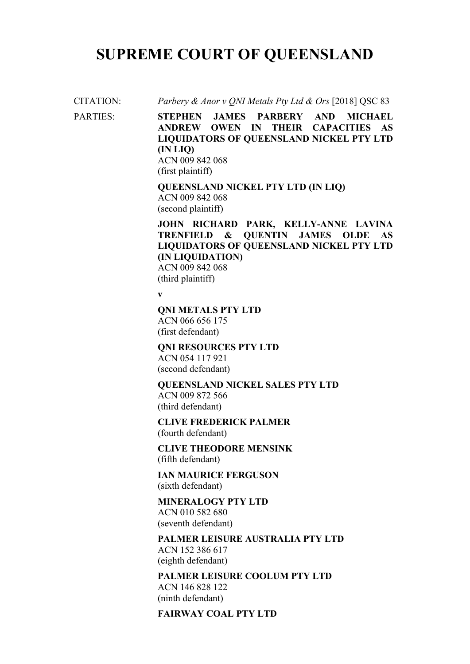# **SUPREME COURT OF QUEENSLAND**

CITATION: *Parbery & Anor v QNI Metals Pty Ltd & Ors* [2018] QSC 83

PARTIES: **STEPHEN JAMES PARBERY AND MICHAEL ANDREW OWEN IN THEIR CAPACITIES AS LIQUIDATORS OF QUEENSLAND NICKEL PTY LTD (IN LIQ)**  ACN 009 842 068 (first plaintiff)

> **QUEENSLAND NICKEL PTY LTD (IN LIQ)**  ACN 009 842 068 (second plaintiff)

**JOHN RICHARD PARK, KELLY-ANNE LAVINA TRENFIELD & QUENTIN JAMES OLDE AS LIQUIDATORS OF QUEENSLAND NICKEL PTY LTD (IN LIQUIDATION)** ACN 009 842 068 (third plaintiff)

**v**

**QNI METALS PTY LTD** 

ACN 066 656 175 (first defendant)

**QNI RESOURCES PTY LTD** ACN 054 117 921 (second defendant)

**QUEENSLAND NICKEL SALES PTY LTD** ACN 009 872 566 (third defendant)

**CLIVE FREDERICK PALMER** (fourth defendant)

**CLIVE THEODORE MENSINK** (fifth defendant)

**IAN MAURICE FERGUSON**  (sixth defendant)

**MINERALOGY PTY LTD**  ACN 010 582 680 (seventh defendant)

**PALMER LEISURE AUSTRALIA PTY LTD**  ACN 152 386 617 (eighth defendant)

**PALMER LEISURE COOLUM PTY LTD**  ACN 146 828 122 (ninth defendant)

#### **FAIRWAY COAL PTY LTD**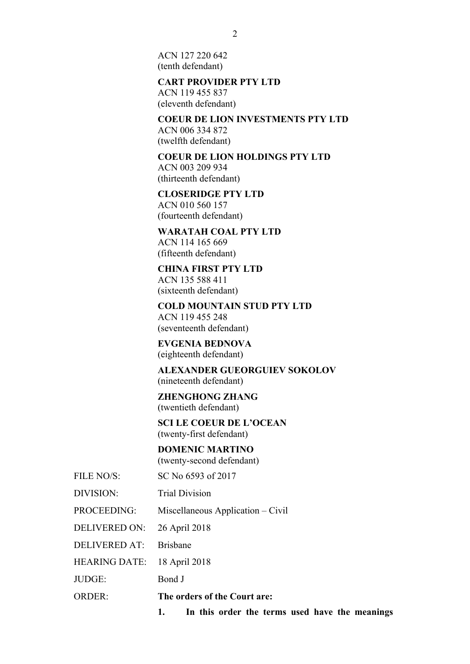ACN 127 220 642 (tenth defendant)

#### **CART PROVIDER PTY LTD**

ACN 119 455 837 (eleventh defendant)

**COEUR DE LION INVESTMENTS PTY LTD** ACN 006 334 872 (twelfth defendant)

**COEUR DE LION HOLDINGS PTY LTD** ACN 003 209 934

(thirteenth defendant)

**CLOSERIDGE PTY LTD** 

ACN 010 560 157 (fourteenth defendant)

**WARATAH COAL PTY LTD** ACN 114 165 669 (fifteenth defendant)

## **CHINA FIRST PTY LTD**

ACN 135 588 411 (sixteenth defendant)

**COLD MOUNTAIN STUD PTY LTD**  ACN 119 455 248

(seventeenth defendant)

**EVGENIA BEDNOVA**  (eighteenth defendant)

**ALEXANDER GUEORGUIEV SOKOLOV** (nineteenth defendant)

**ZHENGHONG ZHANG** (twentieth defendant)

**SCI LE COEUR DE L'OCEAN**  (twenty-first defendant)

### **DOMENIC MARTINO**

(twenty-second defendant)

FILE NO/S: SC No 6593 of 2017

DIVISION: Trial Division

PROCEEDING: Miscellaneous Application – Civil

DELIVERED ON: 26 April 2018

DELIVERED AT: Brisbane

HEARING DATE: 18 April 2018

JUDGE: Bond J

ORDER: **The orders of the Court are:**

**1. In this order the terms used have the meanings**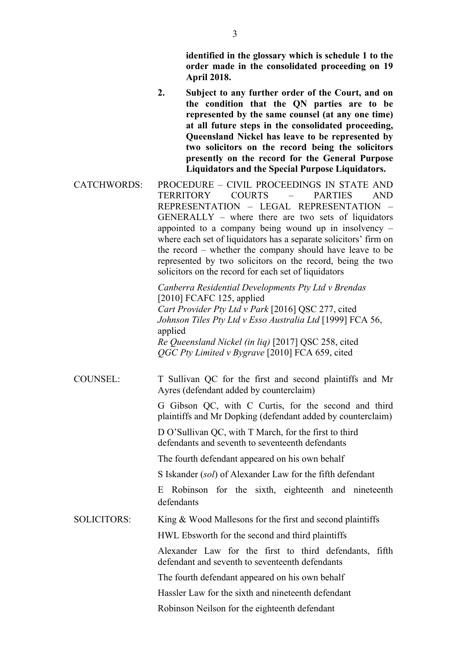**identified in the glossary which is schedule 1 to the order made in the consolidated proceeding on 19 April 2018.**

- **2. Subject to any further order of the Court, and on the condition that the QN parties are to be represented by the same counsel (at any one time) at all future steps in the consolidated proceeding, Queensland Nickel has leave to be represented by two solicitors on the record being the solicitors presently on the record for the General Purpose Liquidators and the Special Purpose Liquidators.**
- CATCHWORDS: PROCEDURE CIVIL PROCEEDINGS IN STATE AND TERRITORY COURTS – PARTIES AND REPRESENTATION – LEGAL REPRESENTATION – GENERALLY – where there are two sets of liquidators appointed to a company being wound up in insolvency – where each set of liquidators has a separate solicitors' firm on the record – whether the company should have leave to be represented by two solicitors on the record, being the two solicitors on the record for each set of liquidators

*Canberra Residential Developments Pty Ltd v Brendas* [2010] FCAFC 125, applied *Cart Provider Pty Ltd v Park* [2016] QSC 277, cited *Johnson Tiles Pty Ltd v Esso Australia Ltd* [1999] FCA 56, applied *Re Queensland Nickel (in liq)* [2017] QSC 258, cited *QGC Pty Limited v Bygrave* [2010] FCA 659, cited

COUNSEL: T Sullivan QC for the first and second plaintiffs and Mr Ayres (defendant added by counterclaim)

> G Gibson QC, with C Curtis, for the second and third plaintiffs and Mr Dopking (defendant added by counterclaim)

D O'Sullivan QC, with T March, for the first to third defendants and seventh to seventeenth defendants

The fourth defendant appeared on his own behalf

S Iskander (*sol*) of Alexander Law for the fifth defendant

E Robinson for the sixth, eighteenth and nineteenth defendants

SOLICITORS: King & Wood Mallesons for the first and second plaintiffs

HWL Ebsworth for the second and third plaintiffs

Alexander Law for the first to third defendants, fifth defendant and seventh to seventeenth defendants

The fourth defendant appeared on his own behalf

Hassler Law for the sixth and nineteenth defendant

Robinson Neilson for the eighteenth defendant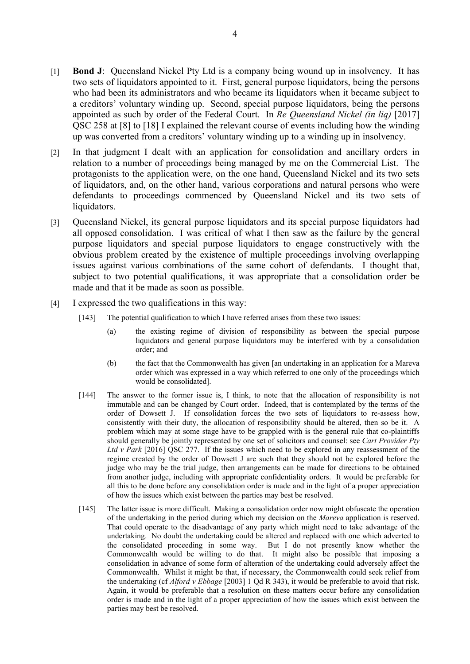- [1] **Bond J**: Queensland Nickel Pty Ltd is a company being wound up in insolvency. It has two sets of liquidators appointed to it. First, general purpose liquidators, being the persons who had been its administrators and who became its liquidators when it became subject to a creditors' voluntary winding up. Second, special purpose liquidators, being the persons appointed as such by order of the Federal Court. In *Re Queensland Nickel (in liq)* [2017] QSC 258 at [8] to [18] I explained the relevant course of events including how the winding up was converted from a creditors' voluntary winding up to a winding up in insolvency.
- [2] In that judgment I dealt with an application for consolidation and ancillary orders in relation to a number of proceedings being managed by me on the Commercial List. The protagonists to the application were, on the one hand, Queensland Nickel and its two sets of liquidators, and, on the other hand, various corporations and natural persons who were defendants to proceedings commenced by Queensland Nickel and its two sets of liquidators.
- [3] Queensland Nickel, its general purpose liquidators and its special purpose liquidators had all opposed consolidation. I was critical of what I then saw as the failure by the general purpose liquidators and special purpose liquidators to engage constructively with the obvious problem created by the existence of multiple proceedings involving overlapping issues against various combinations of the same cohort of defendants. I thought that, subject to two potential qualifications, it was appropriate that a consolidation order be made and that it be made as soon as possible.
- [4] I expressed the two qualifications in this way:
	- [143] The potential qualification to which I have referred arises from these two issues:
		- (a) the existing regime of division of responsibility as between the special purpose liquidators and general purpose liquidators may be interfered with by a consolidation order; and
		- (b) the fact that the Commonwealth has given [an undertaking in an application for a Mareva order which was expressed in a way which referred to one only of the proceedings which would be consolidated].
	- [144] The answer to the former issue is, I think, to note that the allocation of responsibility is not immutable and can be changed by Court order. Indeed, that is contemplated by the terms of the order of Dowsett J. If consolidation forces the two sets of liquidators to re-assess how, consistently with their duty, the allocation of responsibility should be altered, then so be it. A problem which may at some stage have to be grappled with is the general rule that co-plaintiffs should generally be jointly represented by one set of solicitors and counsel: see *Cart Provider Pty*  Ltd v Park <sup>[2016]</sup> OSC 277. If the issues which need to be explored in any reassessment of the regime created by the order of Dowsett J are such that they should not be explored before the judge who may be the trial judge, then arrangements can be made for directions to be obtained from another judge, including with appropriate confidentiality orders. It would be preferable for all this to be done before any consolidation order is made and in the light of a proper appreciation of how the issues which exist between the parties may best be resolved.
	- [145] The latter issue is more difficult. Making a consolidation order now might obfuscate the operation of the undertaking in the period during which my decision on the *Mareva* application is reserved. That could operate to the disadvantage of any party which might need to take advantage of the undertaking. No doubt the undertaking could be altered and replaced with one which adverted to the consolidated proceeding in some way. But I do not presently know whether the Commonwealth would be willing to do that. It might also be possible that imposing a consolidation in advance of some form of alteration of the undertaking could adversely affect the Commonwealth. Whilst it might be that, if necessary, the Commonwealth could seek relief from the undertaking (cf *Alford v Ebbage* [2003] 1 Qd R 343), it would be preferable to avoid that risk. Again, it would be preferable that a resolution on these matters occur before any consolidation order is made and in the light of a proper appreciation of how the issues which exist between the parties may best be resolved.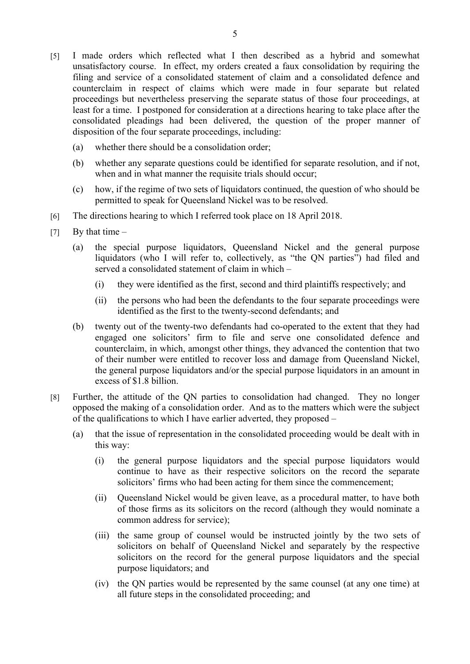- [5] I made orders which reflected what I then described as a hybrid and somewhat unsatisfactory course. In effect, my orders created a faux consolidation by requiring the filing and service of a consolidated statement of claim and a consolidated defence and counterclaim in respect of claims which were made in four separate but related proceedings but nevertheless preserving the separate status of those four proceedings, at least for a time. I postponed for consideration at a directions hearing to take place after the consolidated pleadings had been delivered, the question of the proper manner of disposition of the four separate proceedings, including:
	- (a) whether there should be a consolidation order;
	- (b) whether any separate questions could be identified for separate resolution, and if not, when and in what manner the requisite trials should occur;
	- (c) how, if the regime of two sets of liquidators continued, the question of who should be permitted to speak for Queensland Nickel was to be resolved.
- [6] The directions hearing to which I referred took place on 18 April 2018.
- $[7]$  By that time
	- (a) the special purpose liquidators, Queensland Nickel and the general purpose liquidators (who I will refer to, collectively, as "the QN parties") had filed and served a consolidated statement of claim in which –
		- (i) they were identified as the first, second and third plaintiffs respectively; and
		- (ii) the persons who had been the defendants to the four separate proceedings were identified as the first to the twenty-second defendants; and
	- (b) twenty out of the twenty-two defendants had co-operated to the extent that they had engaged one solicitors' firm to file and serve one consolidated defence and counterclaim, in which, amongst other things, they advanced the contention that two of their number were entitled to recover loss and damage from Queensland Nickel, the general purpose liquidators and/or the special purpose liquidators in an amount in excess of \$1.8 billion.
- [8] Further, the attitude of the QN parties to consolidation had changed. They no longer opposed the making of a consolidation order. And as to the matters which were the subject of the qualifications to which I have earlier adverted, they proposed –
	- (a) that the issue of representation in the consolidated proceeding would be dealt with in this way:
		- (i) the general purpose liquidators and the special purpose liquidators would continue to have as their respective solicitors on the record the separate solicitors' firms who had been acting for them since the commencement;
		- (ii) Queensland Nickel would be given leave, as a procedural matter, to have both of those firms as its solicitors on the record (although they would nominate a common address for service);
		- (iii) the same group of counsel would be instructed jointly by the two sets of solicitors on behalf of Queensland Nickel and separately by the respective solicitors on the record for the general purpose liquidators and the special purpose liquidators; and
		- (iv) the QN parties would be represented by the same counsel (at any one time) at all future steps in the consolidated proceeding; and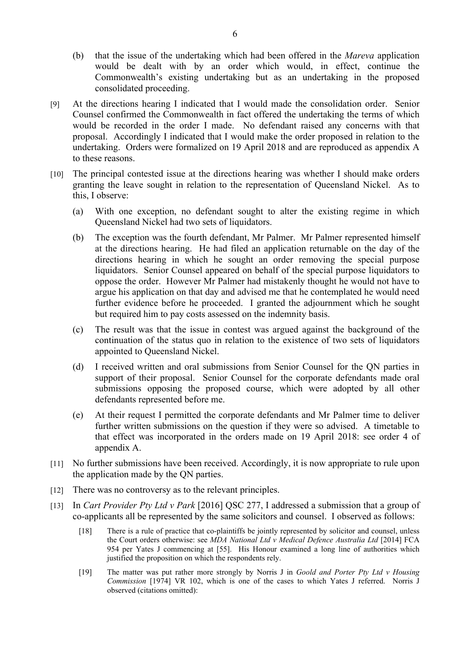- (b) that the issue of the undertaking which had been offered in the *Mareva* application would be dealt with by an order which would, in effect, continue the Commonwealth's existing undertaking but as an undertaking in the proposed consolidated proceeding.
- [9] At the directions hearing I indicated that I would made the consolidation order. Senior Counsel confirmed the Commonwealth in fact offered the undertaking the terms of which would be recorded in the order I made. No defendant raised any concerns with that proposal. Accordingly I indicated that I would make the order proposed in relation to the undertaking. Orders were formalized on 19 April 2018 and are reproduced as appendix A to these reasons.
- [10] The principal contested issue at the directions hearing was whether I should make orders granting the leave sought in relation to the representation of Queensland Nickel. As to this, I observe:
	- (a) With one exception, no defendant sought to alter the existing regime in which Queensland Nickel had two sets of liquidators.
	- (b) The exception was the fourth defendant, Mr Palmer. Mr Palmer represented himself at the directions hearing. He had filed an application returnable on the day of the directions hearing in which he sought an order removing the special purpose liquidators. Senior Counsel appeared on behalf of the special purpose liquidators to oppose the order. However Mr Palmer had mistakenly thought he would not have to argue his application on that day and advised me that he contemplated he would need further evidence before he proceeded. I granted the adjournment which he sought but required him to pay costs assessed on the indemnity basis.
	- (c) The result was that the issue in contest was argued against the background of the continuation of the status quo in relation to the existence of two sets of liquidators appointed to Queensland Nickel.
	- (d) I received written and oral submissions from Senior Counsel for the QN parties in support of their proposal. Senior Counsel for the corporate defendants made oral submissions opposing the proposed course, which were adopted by all other defendants represented before me.
	- (e) At their request I permitted the corporate defendants and Mr Palmer time to deliver further written submissions on the question if they were so advised. A timetable to that effect was incorporated in the orders made on 19 April 2018: see order 4 of appendix A.
- [11] No further submissions have been received. Accordingly, it is now appropriate to rule upon the application made by the QN parties.
- [12] There was no controversy as to the relevant principles.
- [13] In *Cart Provider Pty Ltd v Park* [2016] QSC 277, I addressed a submission that a group of co-applicants all be represented by the same solicitors and counsel. I observed as follows:
	- [18] There is a rule of practice that co-plaintiffs be jointly represented by solicitor and counsel, unless the Court orders otherwise: see *MDA National Ltd v Medical Defence Australia Ltd* [2014] FCA 954 per Yates J commencing at [55]. His Honour examined a long line of authorities which justified the proposition on which the respondents rely.
	- [19] The matter was put rather more strongly by Norris J in *Goold and Porter Pty Ltd v Housing Commission* [1974] VR 102, which is one of the cases to which Yates J referred. Norris J observed (citations omitted):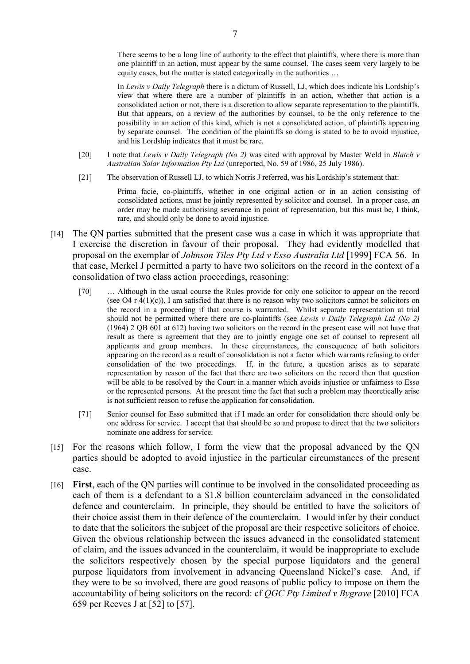In *Lewis v Daily Telegraph* there is a dictum of Russell, LJ, which does indicate his Lordship's view that where there are a number of plaintiffs in an action, whether that action is a consolidated action or not, there is a discretion to allow separate representation to the plaintiffs. But that appears, on a review of the authorities by counsel, to be the only reference to the possibility in an action of this kind, which is not a consolidated action, of plaintiffs appearing by separate counsel. The condition of the plaintiffs so doing is stated to be to avoid injustice, and his Lordship indicates that it must be rare.

- [20] I note that *Lewis v Daily Telegraph (No 2)* was cited with approval by Master Weld in *Blatch v Australian Solar Information Pty Ltd* (unreported, No. 59 of 1986, 25 July 1986).
- [21] The observation of Russell LJ, to which Norris J referred, was his Lordship's statement that:

Prima facie, co-plaintiffs, whether in one original action or in an action consisting of consolidated actions, must be jointly represented by solicitor and counsel. In a proper case, an order may be made authorising severance in point of representation, but this must be, I think, rare, and should only be done to avoid injustice.

- [14] The QN parties submitted that the present case was a case in which it was appropriate that I exercise the discretion in favour of their proposal. They had evidently modelled that proposal on the exemplar of *Johnson Tiles Pty Ltd v Esso Australia Ltd* [1999] FCA 56. In that case, Merkel J permitted a party to have two solicitors on the record in the context of a consolidation of two class action proceedings, reasoning:
	- [70] ... Although in the usual course the Rules provide for only one solicitor to appear on the record (see O4 r  $4(1)(c)$ ), I am satisfied that there is no reason why two solicitors cannot be solicitors on the record in a proceeding if that course is warranted. Whilst separate representation at trial should not be permitted where there are co-plaintiffs (see *Lewis v Daily Telegraph Ltd (No 2)* (1964) 2 QB 601 at 612) having two solicitors on the record in the present case will not have that result as there is agreement that they are to jointly engage one set of counsel to represent all applicants and group members. In these circumstances, the consequence of both solicitors appearing on the record as a result of consolidation is not a factor which warrants refusing to order consolidation of the two proceedings. If, in the future, a question arises as to separate representation by reason of the fact that there are two solicitors on the record then that question will be able to be resolved by the Court in a manner which avoids injustice or unfairness to Esso or the represented persons. At the present time the fact that such a problem may theoretically arise is not sufficient reason to refuse the application for consolidation.
	- [71] Senior counsel for Esso submitted that if I made an order for consolidation there should only be one address for service. I accept that that should be so and propose to direct that the two solicitors nominate one address for service.
- [15] For the reasons which follow, I form the view that the proposal advanced by the ON parties should be adopted to avoid injustice in the particular circumstances of the present case.
- [16] **First**, each of the QN parties will continue to be involved in the consolidated proceeding as each of them is a defendant to a \$1.8 billion counterclaim advanced in the consolidated defence and counterclaim. In principle, they should be entitled to have the solicitors of their choice assist them in their defence of the counterclaim. I would infer by their conduct to date that the solicitors the subject of the proposal are their respective solicitors of choice. Given the obvious relationship between the issues advanced in the consolidated statement of claim, and the issues advanced in the counterclaim, it would be inappropriate to exclude the solicitors respectively chosen by the special purpose liquidators and the general purpose liquidators from involvement in advancing Queensland Nickel's case. And, if they were to be so involved, there are good reasons of public policy to impose on them the accountability of being solicitors on the record: cf *QGC Pty Limited v Bygrave* [2010] FCA 659 per Reeves J at [52] to [57].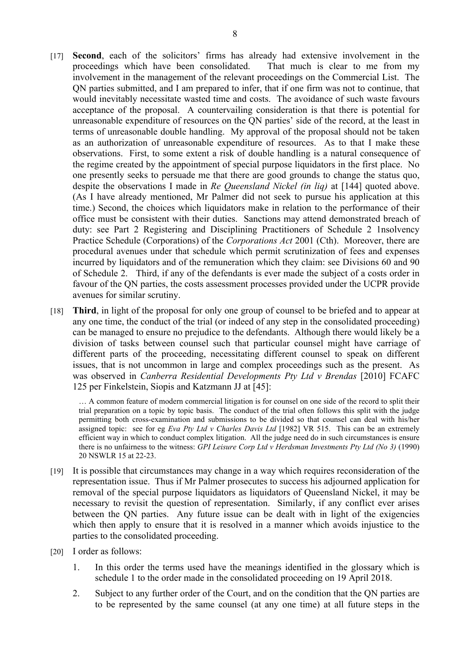- [17] **Second**, each of the solicitors' firms has already had extensive involvement in the proceedings which have been consolidated. That much is clear to me from my involvement in the management of the relevant proceedings on the Commercial List. The QN parties submitted, and I am prepared to infer, that if one firm was not to continue, that would inevitably necessitate wasted time and costs. The avoidance of such waste favours acceptance of the proposal. A countervailing consideration is that there is potential for unreasonable expenditure of resources on the QN parties' side of the record, at the least in terms of unreasonable double handling. My approval of the proposal should not be taken as an authorization of unreasonable expenditure of resources. As to that I make these observations. First, to some extent a risk of double handling is a natural consequence of the regime created by the appointment of special purpose liquidators in the first place. No one presently seeks to persuade me that there are good grounds to change the status quo, despite the observations I made in *Re Queensland Nickel (in liq)* at [144] quoted above. (As I have already mentioned, Mr Palmer did not seek to pursue his application at this time.) Second, the choices which liquidators make in relation to the performance of their office must be consistent with their duties. Sanctions may attend demonstrated breach of duty: see Part 2 Registering and Disciplining Practitioners of Schedule 2 1nsolvency Practice Schedule (Corporations) of the *Corporations Act* 2001 (Cth). Moreover, there are procedural avenues under that schedule which permit scrutinization of fees and expenses incurred by liquidators and of the remuneration which they claim: see Divisions 60 and 90 of Schedule 2. Third, if any of the defendants is ever made the subject of a costs order in favour of the QN parties, the costs assessment processes provided under the UCPR provide avenues for similar scrutiny.
- [18] **Third**, in light of the proposal for only one group of counsel to be briefed and to appear at any one time, the conduct of the trial (or indeed of any step in the consolidated proceeding) can be managed to ensure no prejudice to the defendants. Although there would likely be a division of tasks between counsel such that particular counsel might have carriage of different parts of the proceeding, necessitating different counsel to speak on different issues, that is not uncommon in large and complex proceedings such as the present. As was observed in *Canberra Residential Developments Pty Ltd v Brendas* [2010] FCAFC 125 per Finkelstein, Siopis and Katzmann JJ at [45]:

… A common feature of modern commercial litigation is for counsel on one side of the record to split their trial preparation on a topic by topic basis. The conduct of the trial often follows this split with the judge permitting both cross-examination and submissions to be divided so that counsel can deal with his/her assigned topic: see for eg *Eva Pty Ltd v Charles Davis Ltd* [1982] VR 515. This can be an extremely efficient way in which to conduct complex litigation. All the judge need do in such circumstances is ensure there is no unfairness to the witness: *GPI Leisure Corp Ltd v Herdsman Investments Pty Ltd (No 3)* (1990) 20 NSWLR 15 at 22-23.

- [19] It is possible that circumstances may change in a way which requires reconsideration of the representation issue. Thus if Mr Palmer prosecutes to success his adjourned application for removal of the special purpose liquidators as liquidators of Queensland Nickel, it may be necessary to revisit the question of representation. Similarly, if any conflict ever arises between the QN parties. Any future issue can be dealt with in light of the exigencies which then apply to ensure that it is resolved in a manner which avoids injustice to the parties to the consolidated proceeding.
- [20] I order as follows:
	- 1. In this order the terms used have the meanings identified in the glossary which is schedule 1 to the order made in the consolidated proceeding on 19 April 2018.
	- 2. Subject to any further order of the Court, and on the condition that the QN parties are to be represented by the same counsel (at any one time) at all future steps in the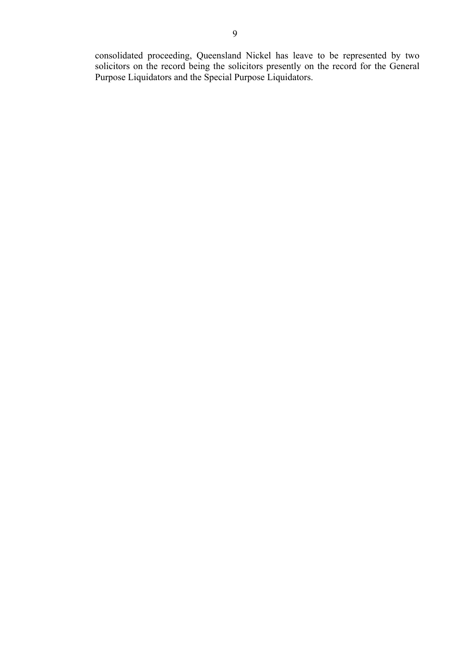consolidated proceeding, Queensland Nickel has leave to be represented by two solicitors on the record being the solicitors presently on the record for the General Purpose Liquidators and the Special Purpose Liquidators.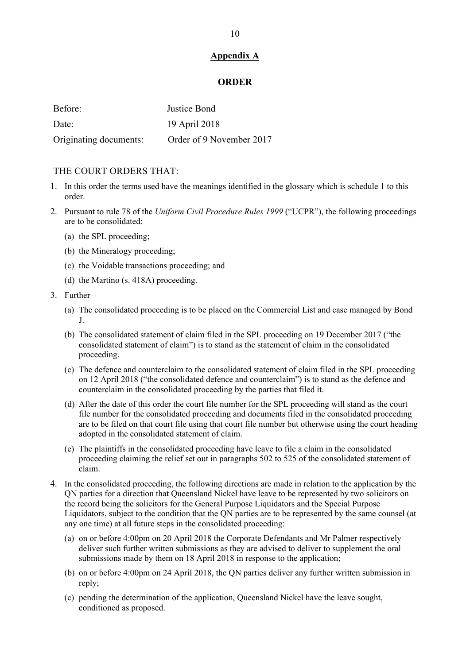#### **Appendix A**

#### **ORDER**

| Before:                | Justice Bond             |
|------------------------|--------------------------|
| Date:                  | 19 April 2018            |
| Originating documents: | Order of 9 November 2017 |

#### THE COURT ORDERS THAT.

- 1. In this order the terms used have the meanings identified in the glossary which is schedule 1 to this order.
- 2. Pursuant to rule 78 of the *Uniform Civil Procedure Rules 1999* ("UCPR"), the following proceedings are to be consolidated:
	- (a) the SPL proceeding;
	- (b) the Mineralogy proceeding;
	- (c) the Voidable transactions proceeding; and
	- (d) the Martino (s. 418A) proceeding.
- 3. Further
	- (a) The consolidated proceeding is to be placed on the Commercial List and case managed by Bond J.
	- (b) The consolidated statement of claim filed in the SPL proceeding on 19 December 2017 ("the consolidated statement of claim") is to stand as the statement of claim in the consolidated proceeding.
	- (c) The defence and counterclaim to the consolidated statement of claim filed in the SPL proceeding on 12 April 2018 ("the consolidated defence and counterclaim") is to stand as the defence and counterclaim in the consolidated proceeding by the parties that filed it.
	- (d) After the date of this order the court file number for the SPL proceeding will stand as the court file number for the consolidated proceeding and documents filed in the consolidated proceeding are to be filed on that court file using that court file number but otherwise using the court heading adopted in the consolidated statement of claim.
	- (e) The plaintiffs in the consolidated proceeding have leave to file a claim in the consolidated proceeding claiming the relief set out in paragraphs 502 to 525 of the consolidated statement of claim.
- 4. In the consolidated proceeding, the following directions are made in relation to the application by the QN parties for a direction that Queensland Nickel have leave to be represented by two solicitors on the record being the solicitors for the General Purpose Liquidators and the Special Purpose Liquidators, subject to the condition that the QN parties are to be represented by the same counsel (at any one time) at all future steps in the consolidated proceeding:
	- (a) on or before 4:00pm on 20 April 2018 the Corporate Defendants and Mr Palmer respectively deliver such further written submissions as they are advised to deliver to supplement the oral submissions made by them on 18 April 2018 in response to the application;
	- (b) on or before 4:00pm on 24 April 2018, the QN parties deliver any further written submission in reply;
	- (c) pending the determination of the application, Queensland Nickel have the leave sought, conditioned as proposed.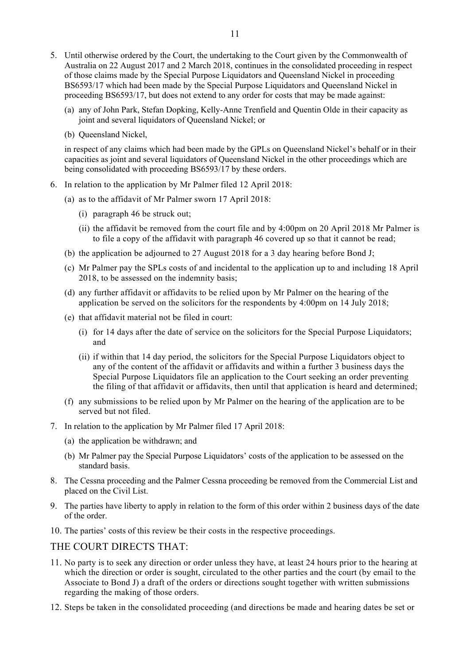- 5. Until otherwise ordered by the Court, the undertaking to the Court given by the Commonwealth of Australia on 22 August 2017 and 2 March 2018, continues in the consolidated proceeding in respect of those claims made by the Special Purpose Liquidators and Queensland Nickel in proceeding BS6593/17 which had been made by the Special Purpose Liquidators and Queensland Nickel in proceeding BS6593/17, but does not extend to any order for costs that may be made against:
	- (a) any of John Park, Stefan Dopking, Kelly-Anne Trenfield and Quentin Olde in their capacity as joint and several liquidators of Queensland Nickel; or
	- (b) Queensland Nickel,

in respect of any claims which had been made by the GPLs on Queensland Nickel's behalf or in their capacities as joint and several liquidators of Queensland Nickel in the other proceedings which are being consolidated with proceeding BS6593/17 by these orders.

- 6. In relation to the application by Mr Palmer filed 12 April 2018:
	- (a) as to the affidavit of Mr Palmer sworn 17 April 2018:
		- (i) paragraph 46 be struck out;
		- (ii) the affidavit be removed from the court file and by 4:00pm on 20 April 2018 Mr Palmer is to file a copy of the affidavit with paragraph 46 covered up so that it cannot be read;
	- (b) the application be adjourned to 27 August 2018 for a 3 day hearing before Bond J;
	- (c) Mr Palmer pay the SPLs costs of and incidental to the application up to and including 18 April 2018, to be assessed on the indemnity basis;
	- (d) any further affidavit or affidavits to be relied upon by Mr Palmer on the hearing of the application be served on the solicitors for the respondents by 4:00pm on 14 July 2018;
	- (e) that affidavit material not be filed in court:
		- (i) for 14 days after the date of service on the solicitors for the Special Purpose Liquidators; and
		- (ii) if within that 14 day period, the solicitors for the Special Purpose Liquidators object to any of the content of the affidavit or affidavits and within a further 3 business days the Special Purpose Liquidators file an application to the Court seeking an order preventing the filing of that affidavit or affidavits, then until that application is heard and determined;
	- (f) any submissions to be relied upon by Mr Palmer on the hearing of the application are to be served but not filed.
- 7. In relation to the application by Mr Palmer filed 17 April 2018:
	- (a) the application be withdrawn; and
	- (b) Mr Palmer pay the Special Purpose Liquidators' costs of the application to be assessed on the standard basis.
- 8. The Cessna proceeding and the Palmer Cessna proceeding be removed from the Commercial List and placed on the Civil List.
- 9. The parties have liberty to apply in relation to the form of this order within 2 business days of the date of the order.
- 10. The parties' costs of this review be their costs in the respective proceedings.

#### THE COURT DIRECTS THAT:

- 11. No party is to seek any direction or order unless they have, at least 24 hours prior to the hearing at which the direction or order is sought, circulated to the other parties and the court (by email to the Associate to Bond J) a draft of the orders or directions sought together with written submissions regarding the making of those orders.
- 12. Steps be taken in the consolidated proceeding (and directions be made and hearing dates be set or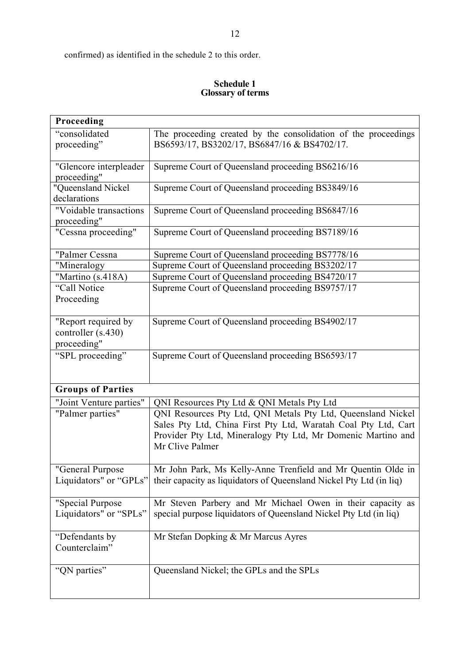confirmed) as identified in the schedule 2 to this order.

#### **Schedule 1 Glossary of terms**

| Proceeding                                               |                                                                                                                                                                                                                   |
|----------------------------------------------------------|-------------------------------------------------------------------------------------------------------------------------------------------------------------------------------------------------------------------|
| "consolidated<br>proceeding"                             | The proceeding created by the consolidation of the proceedings<br>BS6593/17, BS3202/17, BS6847/16 & BS4702/17.                                                                                                    |
| "Glencore interpleader<br>proceeding"                    | Supreme Court of Queensland proceeding BS6216/16                                                                                                                                                                  |
| "Queensland Nickel<br>declarations                       | Supreme Court of Queensland proceeding BS3849/16                                                                                                                                                                  |
| "Voidable transactions<br>proceeding"                    | Supreme Court of Queensland proceeding BS6847/16                                                                                                                                                                  |
| "Cessna proceeding"                                      | Supreme Court of Queensland proceeding BS7189/16                                                                                                                                                                  |
| "Palmer Cessna                                           | Supreme Court of Queensland proceeding BS7778/16                                                                                                                                                                  |
| "Mineralogy                                              | Supreme Court of Queensland proceeding BS3202/17                                                                                                                                                                  |
| "Martino (s.418A)                                        | Supreme Court of Queensland proceeding BS4720/17                                                                                                                                                                  |
| "Call Notice<br>Proceeding                               | Supreme Court of Queensland proceeding BS9757/17                                                                                                                                                                  |
| "Report required by<br>controller (s.430)<br>proceeding" | Supreme Court of Queensland proceeding BS4902/17                                                                                                                                                                  |
| "SPL proceeding"                                         | Supreme Court of Queensland proceeding BS6593/17                                                                                                                                                                  |
| <b>Groups of Parties</b>                                 |                                                                                                                                                                                                                   |
| "Joint Venture parties"                                  | QNI Resources Pty Ltd & QNI Metals Pty Ltd                                                                                                                                                                        |
| "Palmer parties"                                         | QNI Resources Pty Ltd, QNI Metals Pty Ltd, Queensland Nickel<br>Sales Pty Ltd, China First Pty Ltd, Waratah Coal Pty Ltd, Cart<br>Provider Pty Ltd, Mineralogy Pty Ltd, Mr Domenic Martino and<br>Mr Clive Palmer |
| "General Purpose<br>Liquidators" or "GPLs"               | Mr John Park, Ms Kelly-Anne Trenfield and Mr Quentin Olde in<br>their capacity as liquidators of Queensland Nickel Pty Ltd (in liq)                                                                               |
| "Special Purpose<br>Liquidators" or "SPLs"               | Mr Steven Parbery and Mr Michael Owen in their capacity as<br>special purpose liquidators of Queensland Nickel Pty Ltd (in liq)                                                                                   |
| "Defendants by<br>Counterclaim"                          | Mr Stefan Dopking & Mr Marcus Ayres                                                                                                                                                                               |
| "QN parties"                                             | Queensland Nickel; the GPLs and the SPLs                                                                                                                                                                          |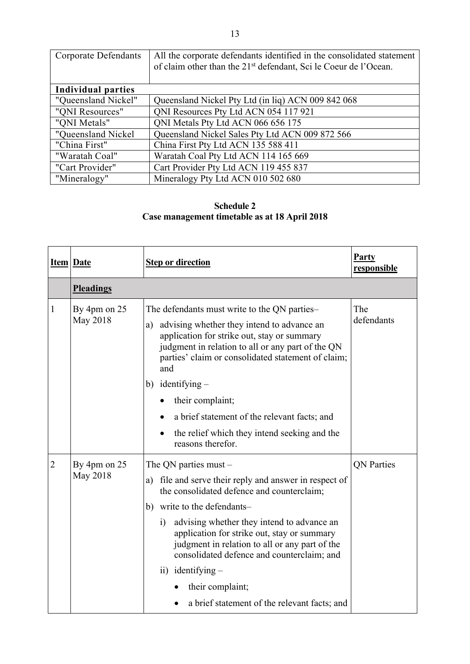| <b>Corporate Defendants</b> | All the corporate defendants identified in the consolidated statement<br>of claim other than the 21 <sup>st</sup> defendant, Sci le Coeur de l'Ocean. |  |
|-----------------------------|-------------------------------------------------------------------------------------------------------------------------------------------------------|--|
| <b>Individual parties</b>   |                                                                                                                                                       |  |
| "Queensland Nickel"         | Queensland Nickel Pty Ltd (in liq) ACN 009 842 068                                                                                                    |  |
| "ONI Resources"             | QNI Resources Pty Ltd ACN 054 117 921                                                                                                                 |  |
| "ONI Metals"                | QNI Metals Pty Ltd ACN 066 656 175                                                                                                                    |  |
| "Queensland Nickel          | Queensland Nickel Sales Pty Ltd ACN 009 872 566                                                                                                       |  |
| "China First"               | China First Pty Ltd ACN 135 588 411                                                                                                                   |  |
| "Waratah Coal"              | Waratah Coal Pty Ltd ACN 114 165 669                                                                                                                  |  |
| "Cart Provider"             | Cart Provider Pty Ltd ACN 119 455 837                                                                                                                 |  |
| "Mineralogy"                | Mineralogy Pty Ltd ACN 010 502 680                                                                                                                    |  |

### **Schedule 2 Case management timetable as at 18 April 2018**

|                | <b>Item Date</b>         | <b>Step or direction</b>                                                                                                                                                                                                                                                                                                                                                                                                                                                  | <b>Party</b><br>responsible |  |
|----------------|--------------------------|---------------------------------------------------------------------------------------------------------------------------------------------------------------------------------------------------------------------------------------------------------------------------------------------------------------------------------------------------------------------------------------------------------------------------------------------------------------------------|-----------------------------|--|
|                | <b>Pleadings</b>         |                                                                                                                                                                                                                                                                                                                                                                                                                                                                           |                             |  |
| 1              | By 4pm on 25<br>May 2018 | The defendants must write to the QN parties–<br>advising whether they intend to advance an<br>a)<br>application for strike out, stay or summary<br>judgment in relation to all or any part of the QN<br>parties' claim or consolidated statement of claim;<br>and<br>$identitying -$<br>b)<br>their complaint;<br>a brief statement of the relevant facts; and<br>the relief which they intend seeking and the<br>reasons therefor.                                       | The<br>defendants           |  |
| $\overline{2}$ | By 4pm on 25<br>May 2018 | The QN parties must $-$<br>a) file and serve their reply and answer in respect of<br>the consolidated defence and counterclaim;<br>write to the defendants-<br>b)<br>advising whether they intend to advance an<br>$\mathbf{i}$<br>application for strike out, stay or summary<br>judgment in relation to all or any part of the<br>consolidated defence and counterclaim; and<br>ii) identifying $-$<br>their complaint;<br>a brief statement of the relevant facts; and | <b>QN</b> Parties           |  |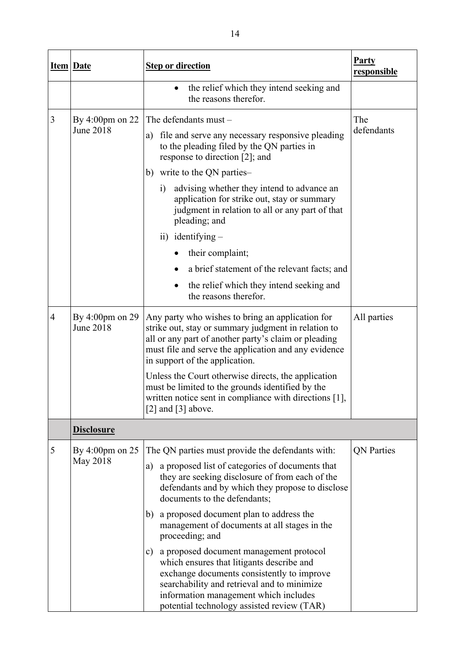|                | <b>Item Date</b>                              | <b>Step or direction</b>                                                                                                                                                                                                                                                                  | <b>Party</b><br>responsible |
|----------------|-----------------------------------------------|-------------------------------------------------------------------------------------------------------------------------------------------------------------------------------------------------------------------------------------------------------------------------------------------|-----------------------------|
|                |                                               | the relief which they intend seeking and<br>$\bullet$<br>the reasons therefor.                                                                                                                                                                                                            |                             |
| 3              | By $4:00 \text{pm}$ on 22                     | The defendants must -                                                                                                                                                                                                                                                                     | The                         |
|                | June 2018                                     | file and serve any necessary responsive pleading<br>a)<br>to the pleading filed by the QN parties in<br>response to direction [2]; and                                                                                                                                                    | defendants                  |
|                |                                               | write to the QN parties-<br>b)                                                                                                                                                                                                                                                            |                             |
|                |                                               | advising whether they intend to advance an<br>i)<br>application for strike out, stay or summary<br>judgment in relation to all or any part of that<br>pleading; and                                                                                                                       |                             |
|                |                                               | ii) identifying $-$                                                                                                                                                                                                                                                                       |                             |
|                |                                               | their complaint;                                                                                                                                                                                                                                                                          |                             |
|                |                                               | a brief statement of the relevant facts; and<br>$\bullet$                                                                                                                                                                                                                                 |                             |
|                |                                               | the relief which they intend seeking and<br>the reasons therefor.                                                                                                                                                                                                                         |                             |
| $\overline{4}$ | By $4:00 \text{pm}$ on 29<br><b>June 2018</b> | Any party who wishes to bring an application for<br>strike out, stay or summary judgment in relation to<br>all or any part of another party's claim or pleading<br>must file and serve the application and any evidence<br>in support of the application.                                 | All parties                 |
|                |                                               | Unless the Court otherwise directs, the application<br>must be limited to the grounds identified by the<br>written notice sent in compliance with directions [1],<br>[2] and $[3]$ above.                                                                                                 |                             |
|                | <b>Disclosure</b>                             |                                                                                                                                                                                                                                                                                           |                             |
| 5              | By $4:00 \text{pm}$ on $25$<br>May 2018       | The QN parties must provide the defendants with:                                                                                                                                                                                                                                          | <b>QN</b> Parties           |
|                |                                               | a proposed list of categories of documents that<br>a)<br>they are seeking disclosure of from each of the<br>defendants and by which they propose to disclose<br>documents to the defendants;                                                                                              |                             |
|                |                                               | a proposed document plan to address the<br>b)<br>management of documents at all stages in the<br>proceeding; and                                                                                                                                                                          |                             |
|                |                                               | a proposed document management protocol<br>$\mathbf{c})$<br>which ensures that litigants describe and<br>exchange documents consistently to improve<br>searchability and retrieval and to minimize<br>information management which includes<br>potential technology assisted review (TAR) |                             |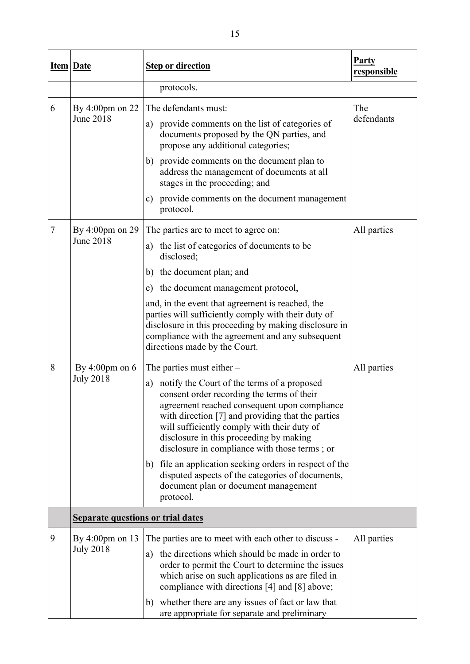|   | <b>Item Date</b>                         | <b>Step or direction</b>                                                                                                                                                                                                                                                                                                                        | <b>Party</b><br>responsible |
|---|------------------------------------------|-------------------------------------------------------------------------------------------------------------------------------------------------------------------------------------------------------------------------------------------------------------------------------------------------------------------------------------------------|-----------------------------|
|   |                                          | protocols.                                                                                                                                                                                                                                                                                                                                      |                             |
| 6 | By 4:00pm on $22$<br><b>June 2018</b>    | The defendants must:<br>a) provide comments on the list of categories of<br>documents proposed by the QN parties, and<br>propose any additional categories;                                                                                                                                                                                     | The<br>defendants           |
|   |                                          | b) provide comments on the document plan to<br>address the management of documents at all<br>stages in the proceeding; and                                                                                                                                                                                                                      |                             |
|   |                                          | provide comments on the document management<br>c)<br>protocol.                                                                                                                                                                                                                                                                                  |                             |
| 7 | By $4:00 \text{pm}$ on $29$              | The parties are to meet to agree on:                                                                                                                                                                                                                                                                                                            | All parties                 |
|   | June 2018                                | a) the list of categories of documents to be<br>disclosed;                                                                                                                                                                                                                                                                                      |                             |
|   |                                          | the document plan; and<br>b)                                                                                                                                                                                                                                                                                                                    |                             |
|   |                                          | c) the document management protocol,                                                                                                                                                                                                                                                                                                            |                             |
|   |                                          | and, in the event that agreement is reached, the<br>parties will sufficiently comply with their duty of<br>disclosure in this proceeding by making disclosure in<br>compliance with the agreement and any subsequent<br>directions made by the Court.                                                                                           |                             |
| 8 | By $4:00 \text{pm}$ on $6$               | The parties must either $-$                                                                                                                                                                                                                                                                                                                     | All parties                 |
|   | <b>July 2018</b>                         | notify the Court of the terms of a proposed<br>a)<br>consent order recording the terms of their<br>agreement reached consequent upon compliance<br>with direction [7] and providing that the parties<br>will sufficiently comply with their duty of<br>disclosure in this proceeding by making<br>disclosure in compliance with those terms; or |                             |
|   |                                          | file an application seeking orders in respect of the<br>b)<br>disputed aspects of the categories of documents,<br>document plan or document management<br>protocol.                                                                                                                                                                             |                             |
|   | <b>Separate questions or trial dates</b> |                                                                                                                                                                                                                                                                                                                                                 |                             |
| 9 | By $4:00 \text{pm}$ on 13                | The parties are to meet with each other to discuss -                                                                                                                                                                                                                                                                                            | All parties                 |
|   | <b>July 2018</b>                         | the directions which should be made in order to<br>a)<br>order to permit the Court to determine the issues<br>which arise on such applications as are filed in<br>compliance with directions [4] and [8] above;                                                                                                                                 |                             |
|   |                                          | whether there are any issues of fact or law that<br>b)<br>are appropriate for separate and preliminary                                                                                                                                                                                                                                          |                             |